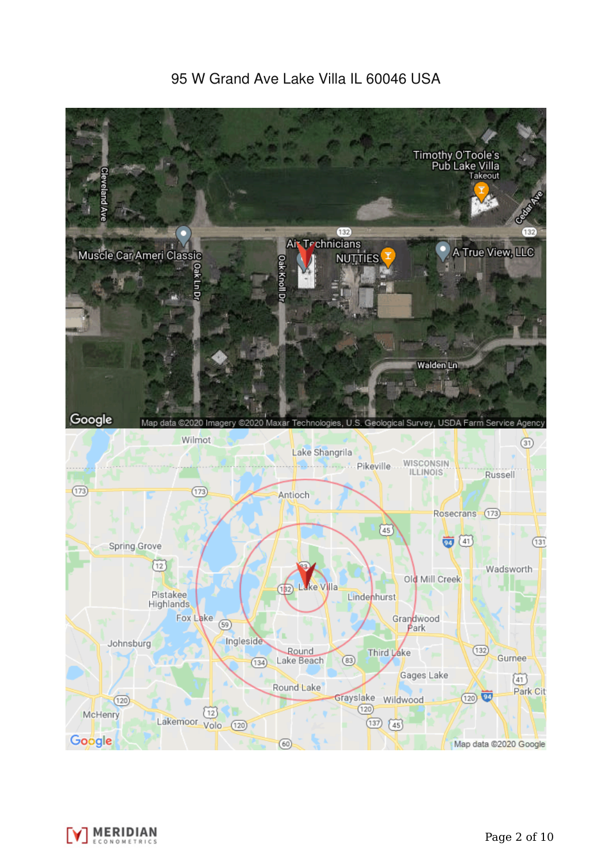# 95 W Grand Ave Lake Villa IL 60046 USA



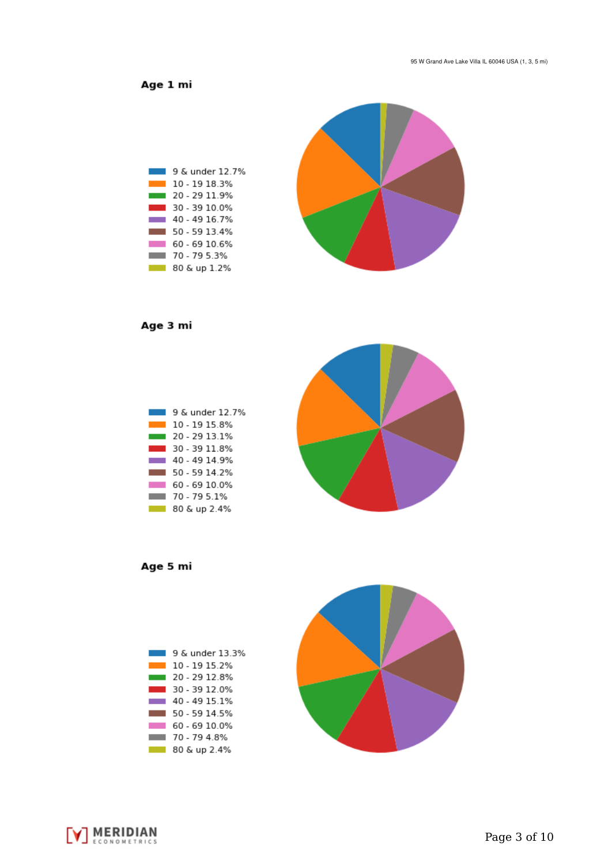Age 1 mi



Age 3 mi



Age 5 mi





[V] MERIDIAN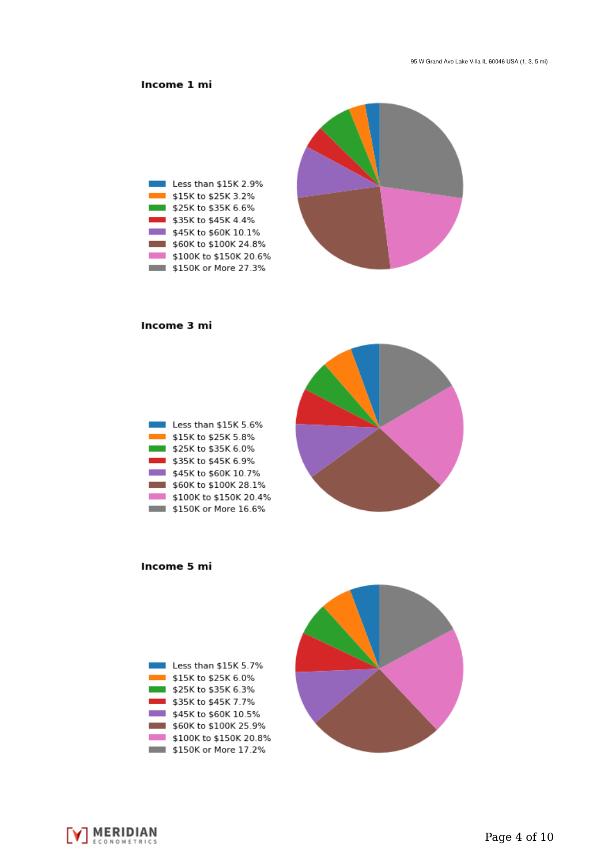## Income 1 mi



#### Income 3 mi





Income 5 mi



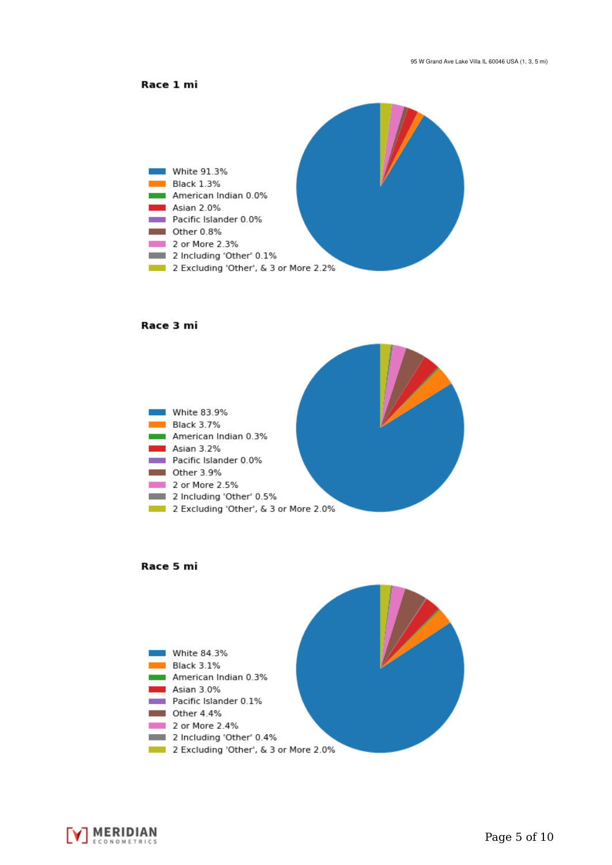



#### Race 3 mi







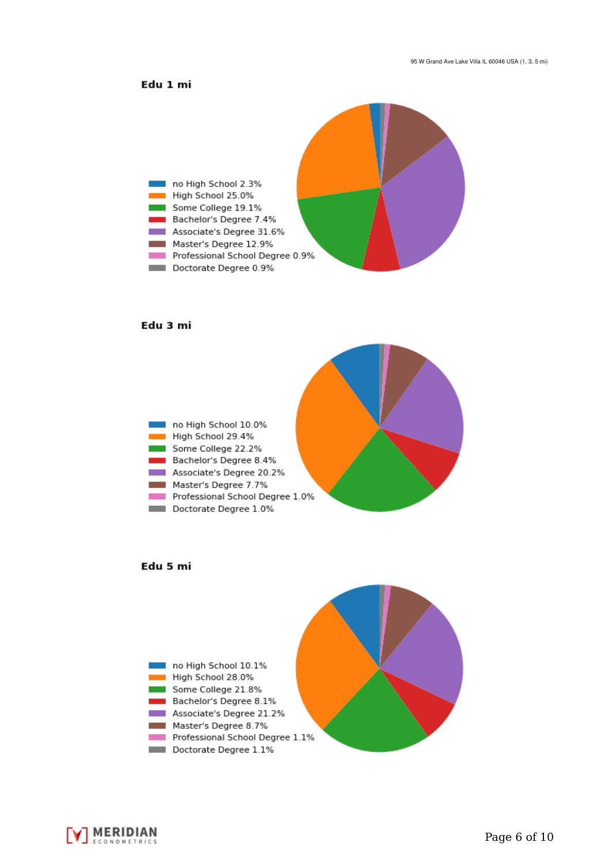### Edu 1 mi



#### Edu 3 mi







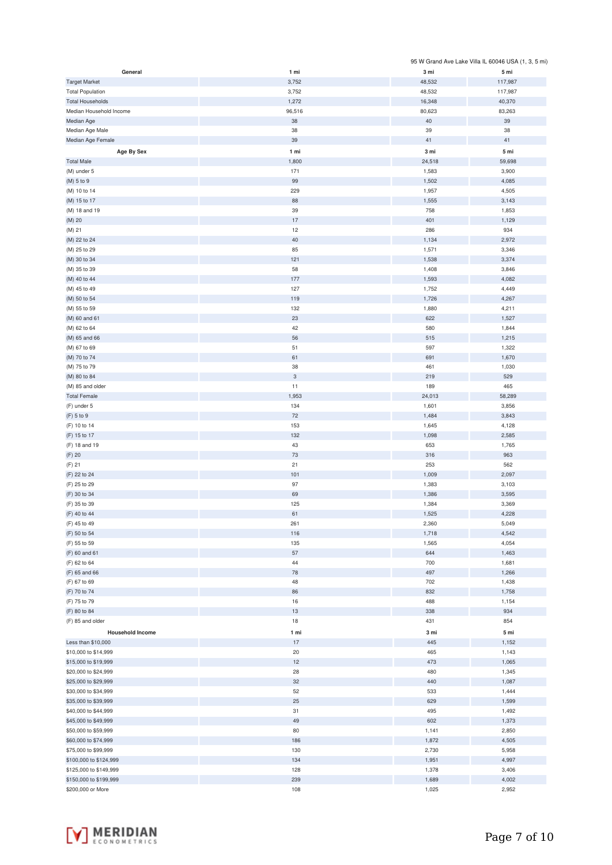|                         |            |        | 95 W Grand Ave Lake Villa IL 60046 USA (1, 3, 5 mi) |
|-------------------------|------------|--------|-----------------------------------------------------|
| General                 | 1 mi       | 3 mi   | 5 mi                                                |
| <b>Target Market</b>    | 3,752      | 48,532 | 117,987                                             |
|                         |            |        |                                                     |
| <b>Total Population</b> | 3,752      | 48,532 | 117,987                                             |
| <b>Total Households</b> | 1,272      | 16,348 | 40,370                                              |
| Median Household Income | 96,516     | 80,623 | 83,263                                              |
| Median Age              | 38         | 40     | 39                                                  |
| Median Age Male         | 38         | 39     | 38                                                  |
|                         | 39         | 41     | 41                                                  |
| Median Age Female       |            |        |                                                     |
| Age By Sex              | 1 mi       | 3 mi   | 5 mi                                                |
| <b>Total Male</b>       | 1,800      | 24,518 | 59,698                                              |
| (M) under 5             | 171        | 1,583  | 3,900                                               |
|                         | 99         |        |                                                     |
| (M) 5 to 9              |            | 1,502  | 4,085                                               |
| (M) 10 to 14            | 229        | 1,957  | 4,505                                               |
| (M) 15 to 17            | 88         | 1,555  | 3,143                                               |
| (M) 18 and 19           | 39         | 758    | 1,853                                               |
| $(M)$ 20                | 17         | 401    | 1,129                                               |
| (M) 21                  | 12         | 286    | 934                                                 |
|                         |            |        |                                                     |
| (M) 22 to 24            | 40         | 1,134  | 2,972                                               |
| (M) 25 to 29            | 85         | 1,571  | 3,346                                               |
| (M) 30 to 34            | 121        | 1,538  | 3,374                                               |
| (M) 35 to 39            | 58         | 1,408  | 3,846                                               |
| (M) 40 to 44            | 177        | 1,593  | 4,082                                               |
|                         |            |        |                                                     |
| (M) 45 to 49            | 127        | 1,752  | 4,449                                               |
| (M) 50 to 54            | 119        | 1,726  | 4,267                                               |
| (M) 55 to 59            | 132        | 1,880  | 4,211                                               |
| (M) 60 and 61           | 23         | 622    | 1,527                                               |
| (M) 62 to 64            | 42         | 580    | 1,844                                               |
|                         |            |        |                                                     |
| (M) 65 and 66           | 56         | 515    | 1,215                                               |
| (M) 67 to 69            | 51         | 597    | 1,322                                               |
| (M) 70 to 74            | 61         | 691    | 1,670                                               |
| (M) 75 to 79            | 38         | 461    | 1,030                                               |
| (M) 80 to 84            | $_{\rm 3}$ | 219    | 529                                                 |
|                         |            |        |                                                     |
| (M) 85 and older        | 11         | 189    | 465                                                 |
| <b>Total Female</b>     | 1,953      | 24,013 | 58,289                                              |
| (F) under 5             | 134        | 1,601  | 3,856                                               |
| (F) 5 to 9              | $72\,$     | 1,484  | 3,843                                               |
| (F) 10 to 14            | 153        | 1,645  | 4,128                                               |
|                         | 132        | 1,098  | 2,585                                               |
| (F) 15 to 17            |            |        |                                                     |
| (F) 18 and 19           | 43         | 653    | 1,765                                               |
| (F) 20                  | 73         | 316    | 963                                                 |
| $(F)$ 21                | 21         | 253    | 562                                                 |
| (F) 22 to 24            | 101        | 1,009  | 2,097                                               |
| (F) 25 to 29            | 97         | 1,383  | 3,103                                               |
|                         |            |        |                                                     |
| (F) 30 to 34            | 69         | 1,386  | 3,595                                               |
| (F) 35 to 39            | 125        | 1,384  | 3,369                                               |
| (F) 40 to 44            | 61         | 1,525  | 4,228                                               |
| (F) 45 to 49            | 261        | 2,360  | 5,049                                               |
| (F) 50 to 54            | 116        | 1,718  | 4,542                                               |
|                         |            |        |                                                     |
| (F) 55 to 59            | 135        | 1,565  | 4,054                                               |
| (F) 60 and 61           | 57         | 644    | 1,463                                               |
| (F) 62 to 64            | 44         | 700    | 1,681                                               |
| (F) 65 and 66           | 78         | 497    | 1,266                                               |
| (F) 67 to 69            | 48         | 702    | 1,438                                               |
| (F) 70 to 74            | 86         | 832    | 1,758                                               |
|                         |            |        |                                                     |
| (F) 75 to 79            | 16         | 488    | 1,154                                               |
| (F) 80 to 84            | 13         | 338    | 934                                                 |
| (F) 85 and older        | 18         | 431    | 854                                                 |
| <b>Household Income</b> | 1 mi       | 3 mi   | 5 mi                                                |
| Less than \$10,000      | 17         | 445    | 1,152                                               |
|                         |            |        |                                                     |
| \$10,000 to \$14,999    | 20         | 465    | 1,143                                               |
| \$15,000 to \$19,999    | 12         | 473    | 1,065                                               |
| \$20,000 to \$24,999    | 28         | 480    | 1,345                                               |
| \$25,000 to \$29,999    | 32         | 440    | 1,087                                               |
| \$30,000 to \$34,999    | 52         | 533    | 1,444                                               |
|                         |            |        |                                                     |
| \$35,000 to \$39,999    | 25         | 629    | 1,599                                               |
| \$40,000 to \$44,999    | 31         | 495    | 1,492                                               |
| \$45,000 to \$49,999    | 49         | 602    | 1,373                                               |
| \$50,000 to \$59,999    | 80         | 1,141  | 2,850                                               |
| \$60,000 to \$74,999    | 186        | 1,872  | 4,505                                               |
|                         |            |        |                                                     |
| \$75,000 to \$99,999    | 130        | 2,730  | 5,958                                               |
| \$100,000 to \$124,999  | 134        | 1,951  | 4,997                                               |
| \$125,000 to \$149,999  | 128        | 1,378  | 3,406                                               |
| \$150,000 to \$199,999  | 239        | 1,689  | 4,002                                               |
| \$200,000 or More       | 108        | 1,025  | 2,952                                               |

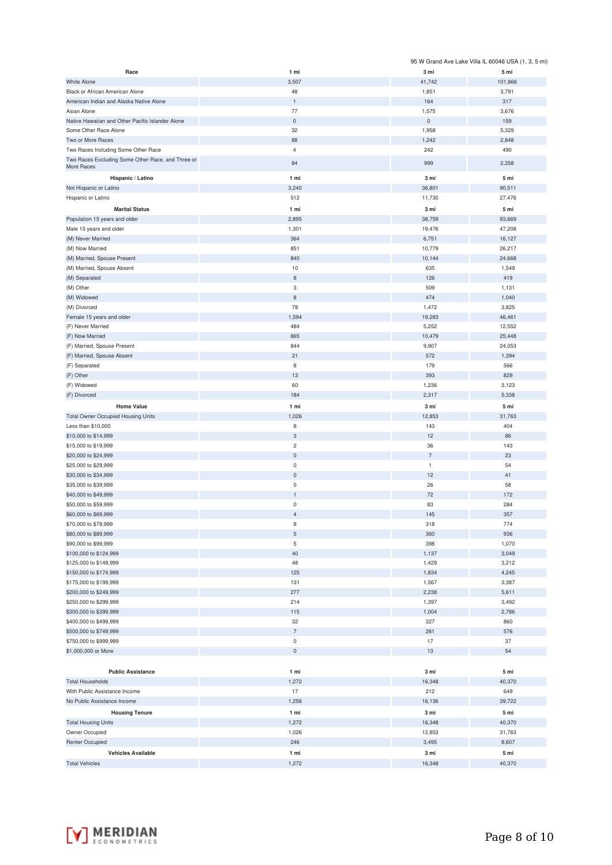|                                                   |                               |                       | 95 W Grand Ave Lake Villa IL 60046 USA (1, 3, 5 mi) |
|---------------------------------------------------|-------------------------------|-----------------------|-----------------------------------------------------|
| Race                                              | 1 mi                          | 3 mi                  | 5 mi                                                |
| <b>White Alone</b>                                | 3,507                         | 41,742                | 101,866                                             |
| Black or African American Alone                   | 48                            | 1,851                 | 3,791                                               |
| American Indian and Alaska Native Alone           | $\mathbf 1$                   | 164                   | 317                                                 |
| Asian Alone                                       | 77                            | 1,575                 | 3,676                                               |
| Native Hawaiian and Other Pacific Islander Alone  | $\mathbf 0$<br>32             | $\mathsf{0}$<br>1,958 | 159<br>5,329                                        |
| Some Other Race Alone<br>Two or More Races        | 88                            | 1,242                 | 2,848                                               |
| Two Races Including Some Other Race               | $\overline{4}$                | 242                   | 490                                                 |
| Two Races Excluding Some Other Race, and Three or |                               |                       |                                                     |
| More Races                                        | 84                            | 999                   | 2,358                                               |
| Hispanic / Latino                                 | 1 mi                          | 3 mi                  | 5 mi                                                |
| Not Hispanic or Latino                            | 3,240                         | 36,801                | 90,511                                              |
| Hispanic or Latino                                | 512                           | 11,730                | 27,476                                              |
| <b>Marital Status</b>                             | 1 mi                          | 3 mi                  | 5 mi                                                |
| Population 15 years and older                     | 2,895                         | 38,759                | 93,669                                              |
| Male 15 years and older                           | 1,301                         | 19,476                | 47,208                                              |
| (M) Never Married                                 | 364                           | 6,751                 | 16,127                                              |
| (M) Now Married                                   | 851                           | 10,779                | 26,217                                              |
| (M) Married, Spouse Present                       | 840                           | 10,144                | 24,668                                              |
| (M) Married, Spouse Absent<br>(M) Separated       | 10<br>$\,$ 8 $\,$             | 635<br>126            | 1,549<br>419                                        |
| (M) Other                                         | 3                             | 509                   | 1,131                                               |
| (M) Widowed                                       | 8                             | 474                   | 1,040                                               |
| (M) Divorced                                      | 78                            | 1,472                 | 3,825                                               |
| Female 15 years and older                         | 1,594                         | 19,283                | 46,461                                              |
| (F) Never Married                                 | 484                           | 5,252                 | 12,552                                              |
| (F) Now Married                                   | 865                           | 10,479                | 25,448                                              |
| (F) Married, Spouse Present                       | 844                           | 9,907                 | 24,053                                              |
| (F) Married, Spouse Absent                        | 21                            | 572                   | 1,394                                               |
| (F) Separated                                     | 8                             | 179                   | 566                                                 |
| (F) Other                                         | 13                            | 393                   | 829                                                 |
| (F) Widowed                                       | 60                            | 1,236                 | 3,123                                               |
| (F) Divorced                                      | 184                           | 2,317                 | 5,338                                               |
| <b>Home Value</b>                                 | 1 mi                          | 3 mi                  | 5 mi                                                |
| <b>Total Owner Occupied Housing Units</b>         | 1,026                         | 12,853                | 31,763                                              |
| Less than \$10,000                                | 8                             | 143                   | 404                                                 |
| \$10,000 to \$14,999                              | $\mathsf 3$                   | 12                    | 86                                                  |
| \$15,000 to \$19,999                              | $\overline{c}$                | 36                    | 143                                                 |
| \$20,000 to \$24,999                              | $\mathsf{O}\xspace$           | $\overline{7}$        | 23                                                  |
| \$25,000 to \$29,999                              | $\mathsf{O}\xspace$           | $\mathbf{1}$          | 54                                                  |
| \$30,000 to \$34,999                              | $\mathsf{O}\xspace$           | 12                    | 41                                                  |
| \$35,000 to \$39,999                              | $\pmb{0}$                     | 26                    | 58                                                  |
| \$40,000 to \$49,999                              | 1                             | 72                    | 172                                                 |
| \$50,000 to \$59,999<br>\$60,000 to \$69,999      | $\mathsf 0$<br>$\overline{4}$ | 83<br>145             | 284<br>357                                          |
| \$70,000 to \$79,999                              | $\,$ 8 $\,$                   | 318                   | 774                                                 |
| \$80,000 to \$89,999                              | $\mathbf 5$                   | 360                   | 936                                                 |
| \$90,000 to \$99,999                              | 5                             | 398                   | 1,070                                               |
| \$100,000 to \$124,999                            | 40                            | 1,137                 | 3,049                                               |
| \$125,000 to \$149,999                            | 48                            | 1,429                 | 3,212                                               |
| \$150,000 to \$174,999                            | 125                           | 1,834                 | 4,245                                               |
| \$175,000 to \$199,999                            | 131                           | 1,567                 | 3,387                                               |
| \$200,000 to \$249,999                            | 277                           | 2,238                 | 5,611                                               |
| \$250,000 to \$299,999                            | 214                           | 1,397                 | 3,492                                               |
| \$300,000 to \$399,999                            | 115                           | 1,004                 | 2,786                                               |
| \$400,000 to \$499,999                            | 32                            | 327                   | 860                                                 |
| \$500,000 to \$749,999                            | $\overline{7}$                | 261                   | 576                                                 |
| \$750,000 to \$999,999                            | $\mathsf 0$                   | 17                    | 37                                                  |
| \$1,000,000 or More                               | $\mathsf{O}\xspace$           | 13                    | 54                                                  |
|                                                   |                               |                       |                                                     |
| <b>Public Assistance</b>                          | 1 mi                          | 3 mi                  | 5 mi                                                |
| <b>Total Households</b>                           | 1,272                         | 16,348                | 40,370                                              |
| With Public Assistance Income                     | 17                            | 212                   | 649                                                 |
| No Public Assistance Income                       | 1,256                         | 16,136                | 39,722                                              |
| <b>Housing Tenure</b>                             | 1 mi                          | 3 mi                  | 5 mi                                                |
| <b>Total Housing Units</b>                        | 1,272                         | 16,348                | 40,370                                              |
| Owner Occupied                                    | 1,026                         | 12,853                | 31,763                                              |
| Renter Occupied                                   | 246                           | 3,495                 | 8,607                                               |
| <b>Vehicles Available</b>                         | 1 mi                          | 3 mi                  | 5 mi                                                |
| <b>Total Vehicles</b>                             | 1,272                         | 16,348                | 40,370                                              |

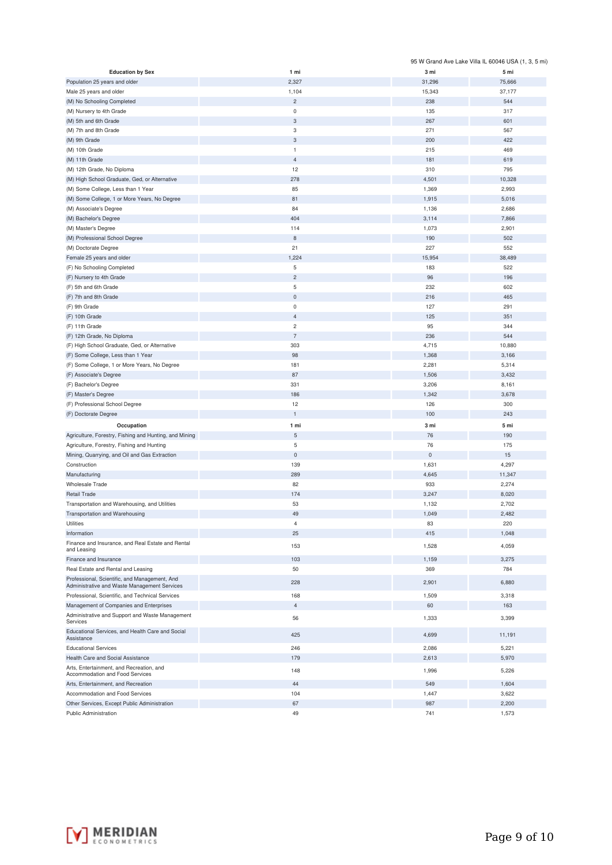|                                                                                               |                     |           | 95 W Grand Ave Lake Villa IL 60046 USA (1, 3, 5 mi) |
|-----------------------------------------------------------------------------------------------|---------------------|-----------|-----------------------------------------------------|
| <b>Education by Sex</b>                                                                       | 1 mi                | 3 mi      | 5 mi                                                |
| Population 25 years and older                                                                 | 2,327               | 31,296    | 75,666                                              |
| Male 25 years and older                                                                       | 1,104               | 15,343    | 37,177                                              |
| (M) No Schooling Completed                                                                    | $\overline{c}$      | 238       | 544                                                 |
| (M) Nursery to 4th Grade                                                                      | $\mathbf 0$         | 135       | 317                                                 |
| (M) 5th and 6th Grade                                                                         | 3                   | 267       | 601                                                 |
| (M) 7th and 8th Grade                                                                         | 3                   | 271       | 567                                                 |
| (M) 9th Grade                                                                                 | $\sqrt{3}$          | 200       | 422                                                 |
| (M) 10th Grade                                                                                | $\mathbf{1}$        | 215       | 469                                                 |
| (M) 11th Grade                                                                                | $\overline{4}$      | 181       | 619                                                 |
| (M) 12th Grade, No Diploma                                                                    | 12                  | 310       | 795                                                 |
| (M) High School Graduate, Ged, or Alternative                                                 | 278                 | 4,501     | 10,328                                              |
| (M) Some College, Less than 1 Year                                                            | 85                  | 1,369     | 2,993                                               |
|                                                                                               | 81                  | 1,915     | 5,016                                               |
| (M) Some College, 1 or More Years, No Degree                                                  |                     |           |                                                     |
| (M) Associate's Degree                                                                        | 84                  | 1,136     | 2,686                                               |
| (M) Bachelor's Degree                                                                         | 404                 | 3,114     | 7,866                                               |
| (M) Master's Degree                                                                           | 114                 | 1,073     | 2,901                                               |
| (M) Professional School Degree                                                                | 8                   | 190       | 502                                                 |
| (M) Doctorate Degree                                                                          | 21                  | 227       | 552                                                 |
| Female 25 years and older                                                                     | 1,224               | 15,954    | 38,489                                              |
| (F) No Schooling Completed                                                                    | 5                   | 183       | 522                                                 |
| (F) Nursery to 4th Grade                                                                      | $\overline{c}$      | 96        | 196                                                 |
| (F) 5th and 6th Grade                                                                         | $\sqrt{5}$          | 232       | 602                                                 |
| (F) 7th and 8th Grade                                                                         | $\bf 0$             | 216       | 465                                                 |
| (F) 9th Grade                                                                                 | $\pmb{0}$           | 127       | 291                                                 |
| (F) 10th Grade                                                                                | $\overline{4}$      | 125       | 351                                                 |
| (F) 11th Grade                                                                                | $\overline{c}$      | 95        | 344                                                 |
| (F) 12th Grade, No Diploma                                                                    | $\overline{7}$      | 236       | 544                                                 |
| (F) High School Graduate, Ged, or Alternative                                                 | 303                 | 4,715     | 10,880                                              |
| (F) Some College, Less than 1 Year                                                            | 98                  | 1,368     | 3,166                                               |
| (F) Some College, 1 or More Years, No Degree                                                  | 181                 | 2,281     | 5,314                                               |
| (F) Associate's Degree                                                                        | 87                  | 1,506     | 3,432                                               |
| (F) Bachelor's Degree                                                                         | 331                 | 3,206     | 8,161                                               |
| (F) Master's Degree                                                                           | 186                 | 1,342     | 3,678                                               |
| (F) Professional School Degree                                                                | 12                  | 126       | 300                                                 |
| (F) Doctorate Degree                                                                          | $\mathbf{1}$        | 100       | 243                                                 |
|                                                                                               |                     |           |                                                     |
| Occupation                                                                                    | 1 mi                | 3 mi      | 5 mi                                                |
| Agriculture, Forestry, Fishing and Hunting, and Mining                                        | $\mathbf 5$         | 76        | 190                                                 |
| Agriculture, Forestry, Fishing and Hunting                                                    | 5                   | 76        | 175                                                 |
| Mining, Quarrying, and Oil and Gas Extraction                                                 | $\mathsf{O}\xspace$ | $\pmb{0}$ | 15                                                  |
| Construction                                                                                  | 139                 | 1,631     | 4,297                                               |
| Manufacturing                                                                                 | 289                 | 4,645     | 11,347                                              |
| Wholesale Trade                                                                               | 82                  | 933       | 2,274                                               |
| <b>Retail Trade</b>                                                                           | 174                 | 3,247     | 8,020                                               |
| Transportation and Warehousing, and Utilities                                                 | 53                  | 1,132     | 2,702                                               |
| Transportation and Warehousing                                                                | 49                  | 1,049     | 2,482                                               |
| Utilities                                                                                     | 4                   | 83        | 220                                                 |
| Information                                                                                   | 25                  | 415       | 1,048                                               |
| Finance and Insurance, and Real Estate and Rental<br>and Leasing                              | 153                 | 1,528     | 4,059                                               |
| Finance and Insurance                                                                         | 103                 | 1,159     | 3,275                                               |
| Real Estate and Rental and Leasing                                                            | 50                  | 369       | 784                                                 |
| Professional, Scientific, and Management, And<br>Administrative and Waste Management Services | 228                 | 2,901     | 6,880                                               |
| Professional, Scientific, and Technical Services                                              | 168                 | 1,509     | 3,318                                               |
| Management of Companies and Enterprises                                                       | $\overline{4}$      | 60        | 163                                                 |
| Administrative and Support and Waste Management<br>Services                                   | 56                  | 1,333     | 3,399                                               |
| Educational Services, and Health Care and Social<br>Assistance                                | 425                 | 4,699     | 11,191                                              |
| <b>Educational Services</b>                                                                   | 246                 | 2,086     | 5,221                                               |
| Health Care and Social Assistance                                                             | 179                 | 2,613     | 5,970                                               |
| Arts, Entertainment, and Recreation, and<br>Accommodation and Food Services                   | 148                 | 1,996     | 5,226                                               |
| Arts, Entertainment, and Recreation                                                           | 44                  | 549       | 1,604                                               |
| Accommodation and Food Services                                                               | 104                 | 1,447     | 3,622                                               |
| Other Services, Except Public Administration                                                  | 67                  | 987       | 2,200                                               |
| Public Administration                                                                         | 49                  | 741       | 1,573                                               |